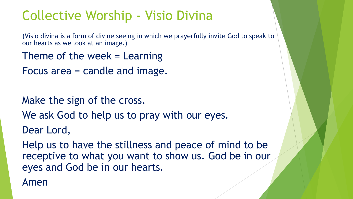## Collective Worship - Visio Divina

(Visio divina is a form of divine seeing in which we prayerfully invite God to speak to our hearts as we look at an image.)

Theme of the week = Learning

Focus area = candle and image.

Make the sign of the cross.

We ask God to help us to pray with our eyes.

Dear Lord,

Help us to have the stillness and peace of mind to be receptive to what you want to show us. God be in our eyes and God be in our hearts.

Amen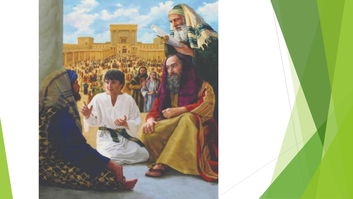

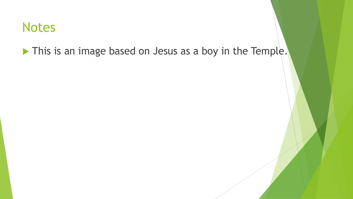### Notes

#### This is an image based on Jesus as a boy in the Temple.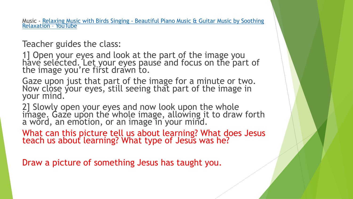Music - Relaxing Music with Birds Singing - [Beautiful Piano Music & Guitar Music by Soothing](https://www.youtube.com/watch?v=FMrtSHAAPhM)  Relaxation – YouTube

Teacher guides the class:

1] Open your eyes and look at the part of the image you have selected. Let your eyes pause and focus on the part of the image you're first drawn to.

Gaze upon just that part of the image for a minute or two. Now close your eyes, still seeing that part of the image in your mind.

2] Slowly open your eyes and now look upon the whole image. Gaze upon the whole image, allowing it to draw forth a word, an emotion, or an image in your mind.

What can this picture tell us about learning? What does Jesus teach us about learning? What type of Jesus was he?

Draw a picture of something Jesus has taught you.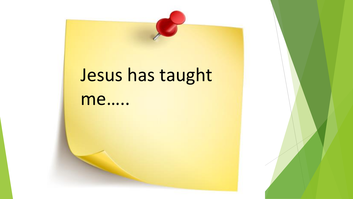# Jesus has taught

## me.....